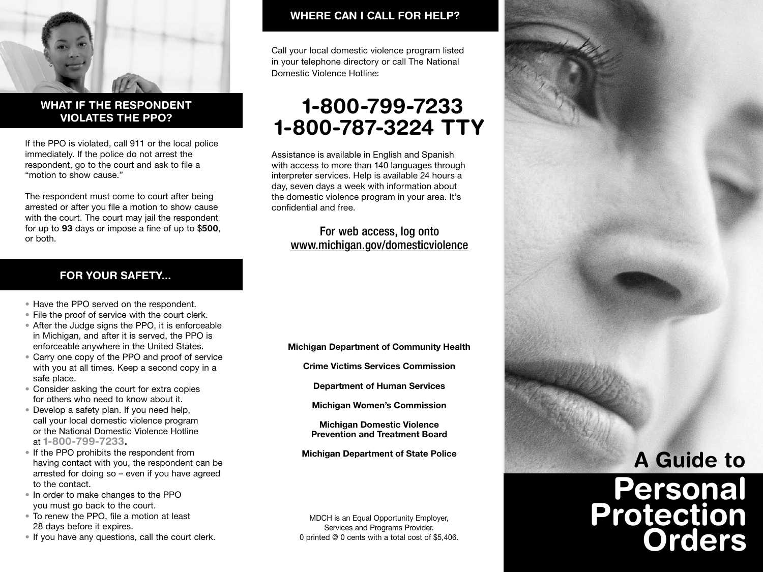

### WHAT IF THE RESPONDENT VIOLATES THE PPO?

If the PPO is violated, call 911 or the local police immediately. If the police do not arrest the respondent, go to the court and ask to file a "motion to show cause."

The respondent must come to court after being arrested or after you file a motion to show cause with the court. The court may jail the respondent for up to 93 days or impose a fine of up to \$500, or both.

#### FOR YOUR SAFETY...

- Have the PPO served on the respondent.
- File the proof of service with the court clerk.
- After the Judge signs the PPO, it is enforceable in Michigan, and after it is served, the PPO is enforceable anywhere in the United States.
- Carry one copy of the PPO and proof of service with you at all times. Keep a second copy in a safe place.
- Consider asking the court for extra copies for others who need to know about it.
- Develop a safety plan. If you need help, call your local domestic violence program or the National Domestic Violence Hotline at 1-800-799-7233.
- If the PPO prohibits the respondent from having contact with you, the respondent can be arrested for doing so – even if you have agreed to the contact.
- In order to make changes to the PPO you must go back to the court.
- To renew the PPO, file a motion at least 28 days before it expires.
- If you have any questions, call the court clerk.

### WHERE CAN I CALL FOR HELP?

Call your local domestic violence program listed in your telephone directory or call The National Domestic Violence Hotline:

# \1-800-799-7233 1-800-787-3224 TTY

Assistance is available in English and Spanish with access to more than 140 languages through interpreter services. Help is available 24 hours a day, seven days a week with information about the domestic violence program in your area. It's confidential and free.

### For web access, log onto www.michigan.gov/domesticviolence

Michigan Department of Community Health

Crime Victims Services Commission

Department of Human Services

Michigan Women's Commission

Michigan Domestic Violence Prevention and Treatment Board

Michigan Department of State Police

MDCH is an Equal Opportunity Employer, Services and Programs Provider. 0 printed @ 0 cents with a total cost of \$5,406.



# Personal Protection **Orders**